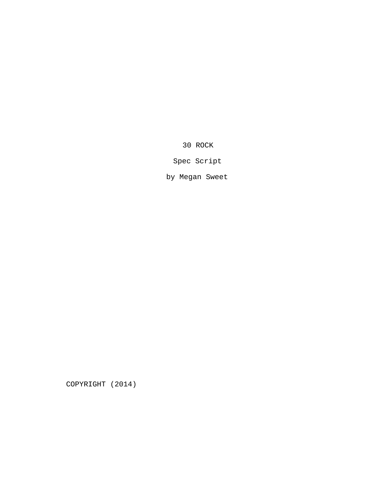30 ROCK

Spec Script

by Megan Sweet

COPYRIGHT (2014)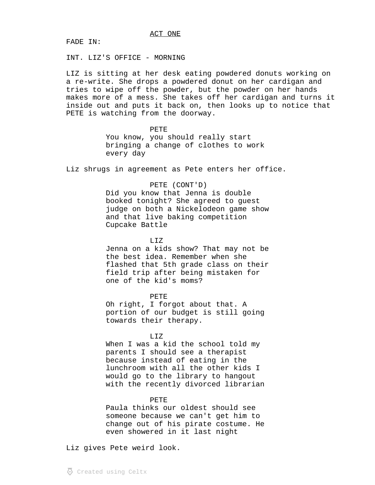FADE IN:

INT. LIZ'S OFFICE - MORNING

LIZ is sitting at her desk eating powdered donuts working on a re-write. She drops a powdered donut on her cardigan and tries to wipe off the powder, but the powder on her hands makes more of a mess. She takes off her cardigan and turns it inside out and puts it back on, then looks up to notice that PETE is watching from the doorway.

#### PETE

You know, you should really start bringing a change of clothes to work every day

Liz shrugs in agreement as Pete enters her office.

#### PETE (CONT'D)

Did you know that Jenna is double booked tonight? She agreed to guest judge on both a Nickelodeon game show and that live baking competition Cupcake Battle

#### T.TZ

Jenna on a kids show? That may not be the best idea. Remember when she flashed that 5th grade class on their field trip after being mistaken for one of the kid's moms?

#### PETE

Oh right, I forgot about that. A portion of our budget is still going towards their therapy.

#### LIZ

When I was a kid the school told my parents I should see a therapist because instead of eating in the lunchroom with all the other kids I would go to the library to hangout with the recently divorced librarian

#### PETE

Paula thinks our oldest should see someone because we can't get him to change out of his pirate costume. He even showered in it last night

Liz gives Pete weird look.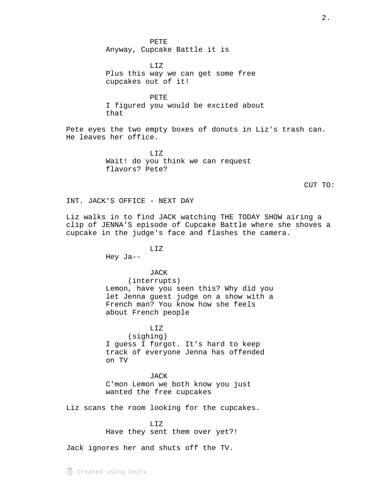PETE Anyway, Cupcake Battle it is

LIZ Plus this way we can get some free cupcakes out of it!

PETE I figured you would be excited about that

Pete eyes the two empty boxes of donuts in Liz's trash can. He leaves her office.

> LIZ Wait! do you think we can request flavors? Pete?

CUT TO:

INT. JACK'S OFFICE - NEXT DAY

Liz walks in to find JACK watching THE TODAY SHOW airing a clip of JENNA'S episode of Cupcake Battle where she shoves a cupcake in the judge's face and flashes the camera.

Hey Ja--

JACK

LIZ

(interrupts)

Lemon, have you seen this? Why did you let Jenna guest judge on a show with a French man? You know how she feels about French people

LIZ (sighing) I guess I forgot. It's hard to keep track of everyone Jenna has offended on TV

JACK C'mon Lemon we both know you just wanted the free cupcakes

Liz scans the room looking for the cupcakes.

LIZ Have they sent them over yet?!

Jack ignores her and shuts off the TV.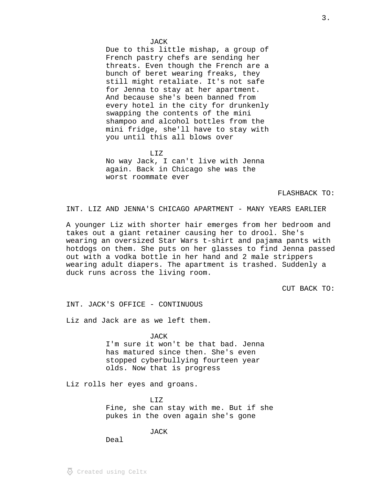#### JACK

Due to this little mishap, a group of French pastry chefs are sending her threats. Even though the French are a bunch of beret wearing freaks, they still might retaliate. It's not safe for Jenna to stay at her apartment. And because she's been banned from every hotel in the city for drunkenly swapping the contents of the mini shampoo and alcohol bottles from the mini fridge, she'll have to stay with you until this all blows over

LIZ No way Jack, I can't live with Jenna again. Back in Chicago she was the worst roommate ever

FLASHBACK TO:

INT. LIZ AND JENNA'S CHICAGO APARTMENT - MANY YEARS EARLIER

A younger Liz with shorter hair emerges from her bedroom and takes out a giant retainer causing her to drool. She's wearing an oversized Star Wars t-shirt and pajama pants with hotdogs on them. She puts on her glasses to find Jenna passed out with a vodka bottle in her hand and 2 male strippers wearing adult diapers. The apartment is trashed. Suddenly a duck runs across the living room.

CUT BACK TO:

INT. JACK'S OFFICE - CONTINUOUS

Liz and Jack are as we left them.

JACK I'm sure it won't be that bad. Jenna has matured since then. She's even stopped cyberbullying fourteen year olds. Now that is progress

Liz rolls her eyes and groans.

 $T_{1}T_{2}$ Fine, she can stay with me. But if she pukes in the oven again she's gone

JACK

Deal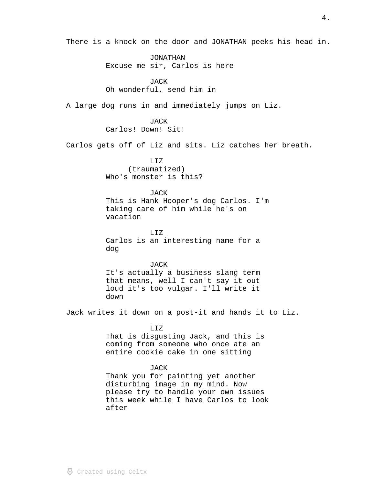There is a knock on the door and JONATHAN peeks his head in.

JONATHAN Excuse me sir, Carlos is here

JACK Oh wonderful, send him in

A large dog runs in and immediately jumps on Liz.

JACK Carlos! Down! Sit!

Carlos gets off of Liz and sits. Liz catches her breath.

LIZ (traumatized) Who's monster is this?

# **JACK**

This is Hank Hooper's dog Carlos. I'm taking care of him while he's on vacation

LIZ Carlos is an interesting name for a dog

# JACK

It's actually a business slang term that means, well I can't say it out loud it's too vulgar. I'll write it down

Jack writes it down on a post-it and hands it to Liz.

# LIZ

That is disgusting Jack, and this is coming from someone who once ate an entire cookie cake in one sitting

# JACK

Thank you for painting yet another disturbing image in my mind. Now please try to handle your own issues this week while I have Carlos to look after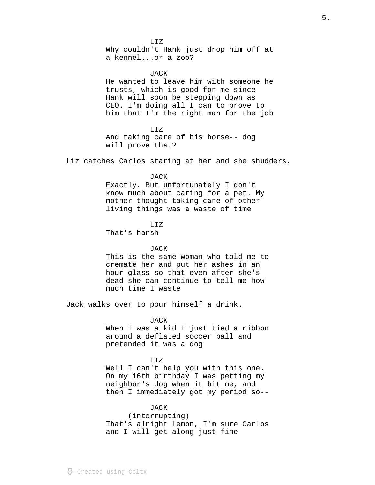$LITZ$ Why couldn't Hank just drop him off at a kennel...or a zoo?

JACK. He wanted to leave him with someone he trusts, which is good for me since Hank will soon be stepping down as CEO. I'm doing all I can to prove to him that I'm the right man for the job

LIZ And taking care of his horse-- dog will prove that?

Liz catches Carlos staring at her and she shudders.

#### JACK

Exactly. But unfortunately I don't know much about caring for a pet. My mother thought taking care of other living things was a waste of time

# LIZ

That's harsh

# JACK

This is the same woman who told me to cremate her and put her ashes in an hour glass so that even after she's dead she can continue to tell me how much time I waste

Jack walks over to pour himself a drink.

JACK When I was a kid I just tied a ribbon around a deflated soccer ball and pretended it was a dog

#### LIZ

Well I can't help you with this one. On my 16th birthday I was petting my neighbor's dog when it bit me, and then I immediately got my period so--

# JACK

(interrupting) That's alright Lemon, I'm sure Carlos and I will get along just fine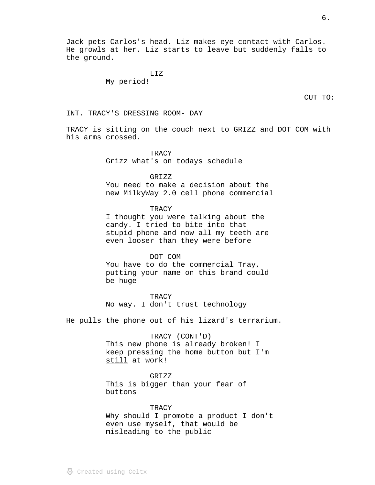Jack pets Carlos's head. Liz makes eye contact with Carlos. He growls at her. Liz starts to leave but suddenly falls to the ground.

> LIZ My period!

CUT TO:

INT. TRACY'S DRESSING ROOM- DAY

TRACY is sitting on the couch next to GRIZZ and DOT COM with his arms crossed.

> TRACY Grizz what's on todays schedule

GRIZZ You need to make a decision about the

new MilkyWay 2.0 cell phone commercial

**TRACY** 

I thought you were talking about the candy. I tried to bite into that stupid phone and now all my teeth are even looser than they were before

DOT COM

You have to do the commercial Tray, putting your name on this brand could be huge

TRACY No way. I don't trust technology

He pulls the phone out of his lizard's terrarium.

TRACY (CONT'D) This new phone is already broken! I keep pressing the home button but I'm still at work!

GRIZZ This is bigger than your fear of buttons

**TRACY** Why should I promote a product I don't even use myself, that would be misleading to the public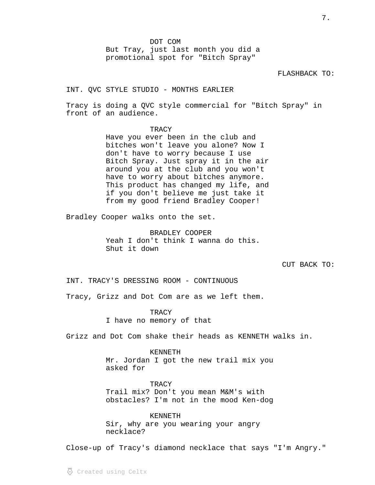DOT COM But Tray, just last month you did a promotional spot for "Bitch Spray"

# FLASHBACK TO:

INT. QVC STYLE STUDIO - MONTHS EARLIER

Tracy is doing a QVC style commercial for "Bitch Spray" in front of an audience.

# **TRACY**

Have you ever been in the club and bitches won't leave you alone? Now I don't have to worry because I use Bitch Spray. Just spray it in the air around you at the club and you won't have to worry about bitches anymore. This product has changed my life, and if you don't believe me just take it from my good friend Bradley Cooper!

Bradley Cooper walks onto the set.

BRADLEY COOPER Yeah I don't think I wanna do this. Shut it down

CUT BACK TO:

INT. TRACY'S DRESSING ROOM - CONTINUOUS

Tracy, Grizz and Dot Com are as we left them.

**TRACY** I have no memory of that

Grizz and Dot Com shake their heads as KENNETH walks in.

#### KENNETH

Mr. Jordan I got the new trail mix you asked for

**TRACY** Trail mix? Don't you mean M&M's with obstacles? I'm not in the mood Ken-dog

KENNETH Sir, why are you wearing your angry necklace?

Close-up of Tracy's diamond necklace that says "I'm Angry."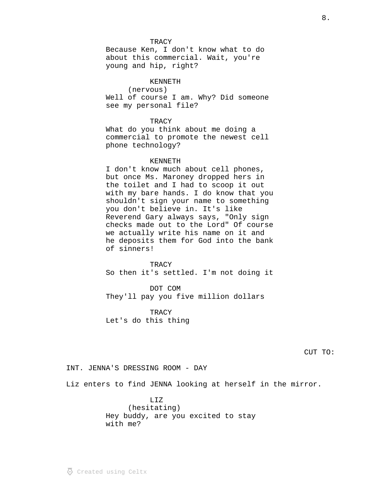#### TRACY

Because Ken, I don't know what to do about this commercial. Wait, you're young and hip, right?

# KENNETH

(nervous) Well of course I am. Why? Did someone see my personal file?

## **TRACY**

What do you think about me doing a commercial to promote the newest cell phone technology?

# KENNETH

I don't know much about cell phones, but once Ms. Maroney dropped hers in the toilet and I had to scoop it out with my bare hands. I do know that you shouldn't sign your name to something you don't believe in. It's like Reverend Gary always says, "Only sign checks made out to the Lord" Of course we actually write his name on it and he deposits them for God into the bank of sinners!

**TRACY** So then it's settled. I'm not doing it

DOT COM They'll pay you five million dollars

**TRACY** Let's do this thing

CUT TO:

INT. JENNA'S DRESSING ROOM - DAY

Liz enters to find JENNA looking at herself in the mirror.

LIZ (hesitating) Hey buddy, are you excited to stay with me?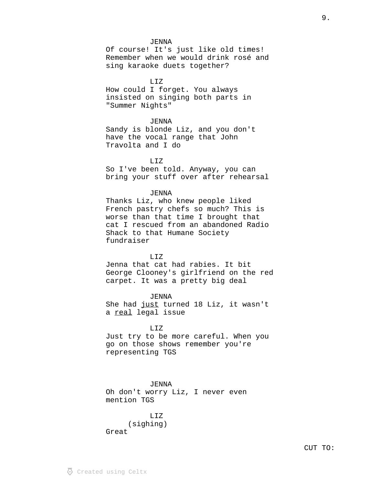#### JENNA

Of course! It's just like old times! Remember when we would drink rosé and sing karaoke duets together?

LIZ

How could I forget. You always insisted on singing both parts in "Summer Nights"

#### *JENNA*

Sandy is blonde Liz, and you don't have the vocal range that John Travolta and I do

LIZ

So I've been told. Anyway, you can bring your stuff over after rehearsal

# *JENNA*

Thanks Liz, who knew people liked French pastry chefs so much? This is worse than that time I brought that cat I rescued from an abandoned Radio Shack to that Humane Society fundraiser

# LIZ

Jenna that cat had rabies. It bit George Clooney's girlfriend on the red carpet. It was a pretty big deal

JENNA She had just turned 18 Liz, it wasn't a real legal issue

LIZ Just try to be more careful. When you go on those shows remember you're representing TGS

## JENNA

Oh don't worry Liz, I never even mention TGS

LIZ (sighing) Great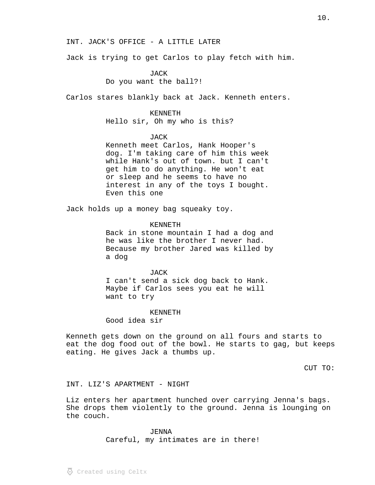#### INT. JACK'S OFFICE - A LITTLE LATER

Jack is trying to get Carlos to play fetch with him.

**JACK** Do you want the ball?!

Carlos stares blankly back at Jack. Kenneth enters.

## KENNETH

Hello sir, Oh my who is this?

#### JACK

Kenneth meet Carlos, Hank Hooper's dog. I'm taking care of him this week while Hank's out of town. but I can't get him to do anything. He won't eat or sleep and he seems to have no interest in any of the toys I bought. Even this one

Jack holds up a money bag squeaky toy.

## KENNETH

Back in stone mountain I had a dog and he was like the brother I never had. Because my brother Jared was killed by a dog

#### JACK

I can't send a sick dog back to Hank. Maybe if Carlos sees you eat he will want to try

#### KENNETH

Good idea sir

Kenneth gets down on the ground on all fours and starts to eat the dog food out of the bowl. He starts to gag, but keeps eating. He gives Jack a thumbs up.

CUT TO:

# INT. LIZ'S APARTMENT - NIGHT

Liz enters her apartment hunched over carrying Jenna's bags. She drops them violently to the ground. Jenna is lounging on the couch.

> *JENNA* Careful, my intimates are in there!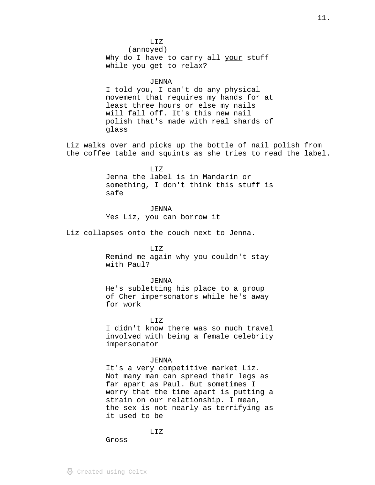$LITZ$ (annoyed) Why do I have to carry all your stuff while you get to relax?

# JENNA

I told you, I can't do any physical movement that requires my hands for at least three hours or else my nails will fall off. It's this new nail polish that's made with real shards of glass

Liz walks over and picks up the bottle of nail polish from the coffee table and squints as she tries to read the label.

> LIZ Jenna the label is in Mandarin or something, I don't think this stuff is safe

> > **JENNA**

Yes Liz, you can borrow it

Liz collapses onto the couch next to Jenna.

# LIZ

Remind me again why you couldn't stay with Paul?

# JENNA

He's subletting his place to a group of Cher impersonators while he's away for work

LIZ

I didn't know there was so much travel involved with being a female celebrity impersonator

# *JENNA*

It's a very competitive market Liz. Not many man can spread their legs as far apart as Paul. But sometimes I worry that the time apart is putting a strain on our relationship. I mean, the sex is not nearly as terrifying as it used to be

# LIZ

Gross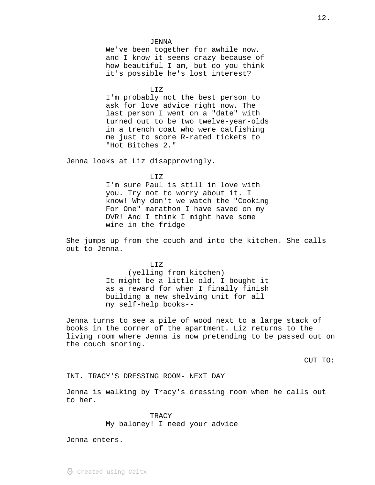JENNA We've been together for awhile now, and I know it seems crazy because of how beautiful I am, but do you think it's possible he's lost interest?

LIZ

I'm probably not the best person to ask for love advice right now. The last person I went on a "date" with turned out to be two twelve-year-olds in a trench coat who were catfishing me just to score R-rated tickets to "Hot Bitches 2."

Jenna looks at Liz disapprovingly.

LIZ

I'm sure Paul is still in love with you. Try not to worry about it. I know! Why don't we watch the "Cooking For One" marathon I have saved on my DVR! And I think I might have some wine in the fridge

She jumps up from the couch and into the kitchen. She calls out to Jenna.

> $T, T, Z$ (yelling from kitchen) It might be a little old, I bought it as a reward for when I finally finish building a new shelving unit for all my self-help books--

Jenna turns to see a pile of wood next to a large stack of books in the corner of the apartment. Liz returns to the living room where Jenna is now pretending to be passed out on the couch snoring.

CUT TO:

INT. TRACY'S DRESSING ROOM- NEXT DAY

Jenna is walking by Tracy's dressing room when he calls out to her.

> TRACY My baloney! I need your advice

Jenna enters.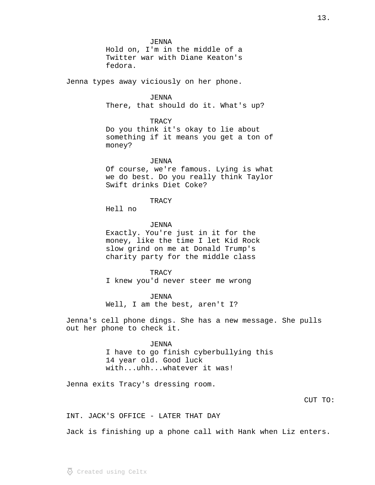JENNA Hold on, I'm in the middle of a Twitter war with Diane Keaton's fedora. Jenna types away viciously on her phone. *JENNA* There, that should do it. What's up? **TRACY** Do you think it's okay to lie about something if it means you get a ton of money? JENNA Of course, we're famous. Lying is what we do best. Do you really think Taylor Swift drinks Diet Coke? TRACY Hell no JENNA Exactly. You're just in it for the money, like the time I let Kid Rock slow grind on me at Donald Trump's charity party for the middle class TRACY I knew you'd never steer me wrong JENNA Well, I am the best, aren't I? Jenna's cell phone dings. She has a new message. She pulls out her phone to check it. JENNA I have to go finish cyberbullying this 14 year old. Good luck with...uhh...whatever it was!

Jenna exits Tracy's dressing room.

INT. JACK'S OFFICE - LATER THAT DAY

Jack is finishing up a phone call with Hank when Liz enters.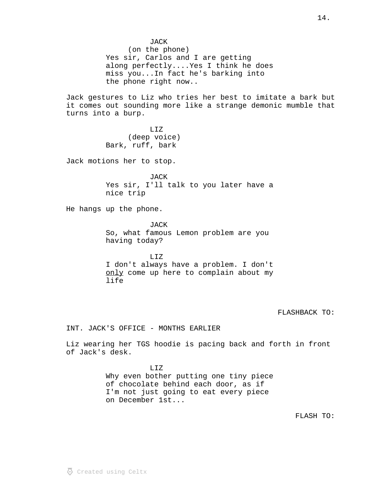JACK (on the phone) Yes sir, Carlos and I are getting along perfectly....Yes I think he does miss you...In fact he's barking into the phone right now.. Jack gestures to Liz who tries her best to imitate a bark but

it comes out sounding more like a strange demonic mumble that turns into a burp.

> LIZ (deep voice) Bark, ruff, bark

Jack motions her to stop.

JACK Yes sir, I'll talk to you later have a nice trip

He hangs up the phone.

JACK So, what famous Lemon problem are you having today?

LIZ I don't always have a problem. I don't only come up here to complain about my life

FLASHBACK TO:

INT. JACK'S OFFICE - MONTHS EARLIER

Liz wearing her TGS hoodie is pacing back and forth in front of Jack's desk.

> LIZ Why even bother putting one tiny piece of chocolate behind each door, as if I'm not just going to eat every piece on December 1st...

> > FLASH TO: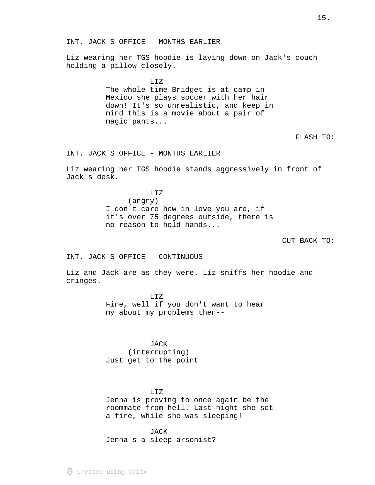Liz wearing her TGS hoodie is laying down on Jack's couch holding a pillow closely.

> LIZ The whole time Bridget is at camp in Mexico she plays soccer with her hair down! It's so unrealistic, and keep in mind this is a movie about a pair of magic pants...

> > FLASH TO:

INT. JACK'S OFFICE - MONTHS EARLIER

Liz wearing her TGS hoodie stands aggressively in front of Jack's desk.

> LIZ (angry) I don't care how in love you are, if it's over 75 degrees outside, there is no reason to hold hands...

> > CUT BACK TO:

INT. JACK'S OFFICE - CONTINUOUS

Liz and Jack are as they were. Liz sniffs her hoodie and cringes.

> LIZ Fine, well if you don't want to hear my about my problems then--

JACK (interrupting) Just get to the point

#### LIZ

Jenna is proving to once again be the roommate from hell. Last night she set a fire, while she was sleeping!

JACK

Jenna's a sleep-arsonist?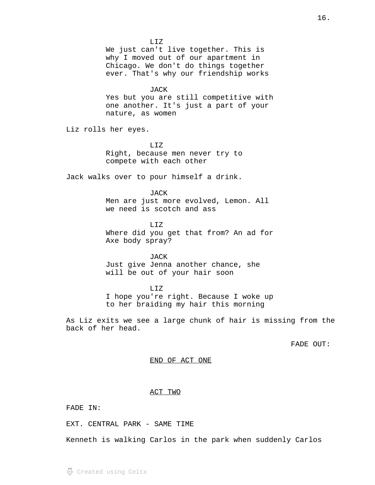We just can't live together. This is why I moved out of our apartment in Chicago. We don't do things together ever. That's why our friendship works JACK Yes but you are still competitive with one another. It's just a part of your nature, as women Liz rolls her eyes. LIZ Right, because men never try to compete with each other Jack walks over to pour himself a drink. JACK Men are just more evolved, Lemon. All we need is scotch and ass LIZ Where did you get that from? An ad for Axe body spray? JACK

 $LITZ$ 

Just give Jenna another chance, she will be out of your hair soon

LIZ I hope you're right. Because I woke up to her braiding my hair this morning

As Liz exits we see a large chunk of hair is missing from the back of her head.

FADE OUT:

#### END OF ACT ONE

## ACT TWO

FADE IN:

EXT. CENTRAL PARK - SAME TIME

Kenneth is walking Carlos in the park when suddenly Carlos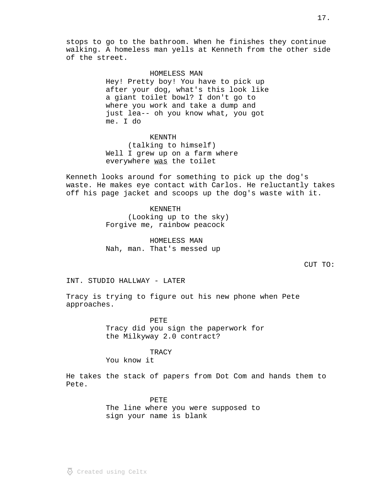stops to go to the bathroom. When he finishes they continue walking. A homeless man yells at Kenneth from the other side of the street.

# HOMELESS MAN

Hey! Pretty boy! You have to pick up after your dog, what's this look like a giant toilet bowl? I don't go to where you work and take a dump and just lea-- oh you know what, you got me. I do

KENNTH (talking to himself) Well I grew up on a farm where everywhere was the toilet

Kenneth looks around for something to pick up the dog's waste. He makes eye contact with Carlos. He reluctantly takes off his page jacket and scoops up the dog's waste with it.

# KENNETH

(Looking up to the sky) Forgive me, rainbow peacock

HOMELESS MAN Nah, man. That's messed up

CUT TO:

INT. STUDIO HALLWAY - LATER

Tracy is trying to figure out his new phone when Pete approaches.

> PETE Tracy did you sign the paperwork for the Milkyway 2.0 contract?

## TRACY

You know it

He takes the stack of papers from Dot Com and hands them to Pete.

> PETE The line where you were supposed to sign your name is blank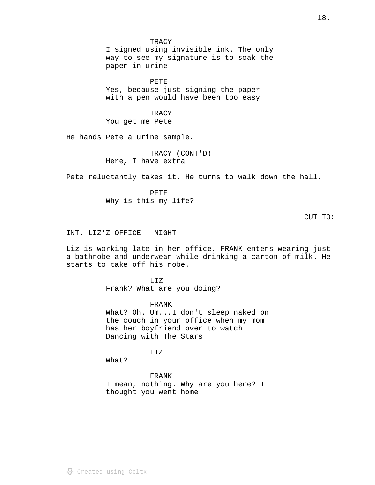**TRACY** I signed using invisible ink. The only way to see my signature is to soak the paper in urine

PETE Yes, because just signing the paper with a pen would have been too easy

TRACY You get me Pete

He hands Pete a urine sample.

TRACY (CONT'D) Here, I have extra

Pete reluctantly takes it. He turns to walk down the hall.

PETE Why is this my life?

CUT TO:

INT. LIZ'Z OFFICE - NIGHT

Liz is working late in her office. FRANK enters wearing just a bathrobe and underwear while drinking a carton of milk. He starts to take off his robe.

> LIZ Frank? What are you doing?

FRANK What? Oh. Um...I don't sleep naked on the couch in your office when my mom has her boyfriend over to watch Dancing with The Stars

LIZ

What?

FRANK I mean, nothing. Why are you here? I thought you went home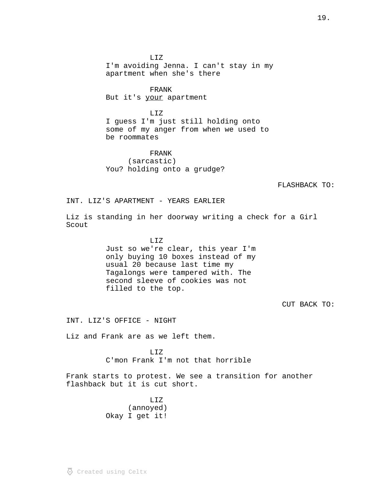LIZ I'm avoiding Jenna. I can't stay in my apartment when she's there

FRANK But it's your apartment

LIZ I guess I'm just still holding onto some of my anger from when we used to be roommates

FRANK (sarcastic) You? holding onto a grudge?

FLASHBACK TO:

INT. LIZ'S APARTMENT - YEARS EARLIER

Liz is standing in her doorway writing a check for a Girl Scout

LIZ

Just so we're clear, this year I'm only buying 10 boxes instead of my usual 20 because last time my Tagalongs were tampered with. The second sleeve of cookies was not filled to the top.

CUT BACK TO:

INT. LIZ'S OFFICE - NIGHT

Liz and Frank are as we left them.

LIZ C'mon Frank I'm not that horrible

Frank starts to protest. We see a transition for another flashback but it is cut short.

> LIZ (annoyed) Okay I get it!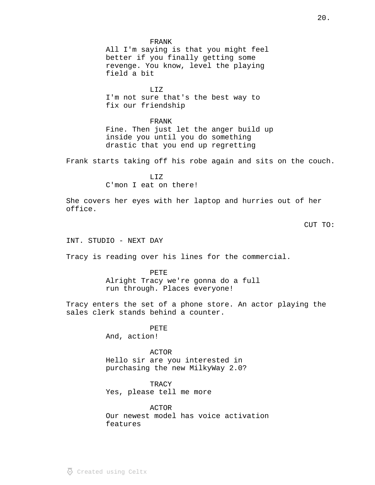#### FRANK

All I'm saying is that you might feel better if you finally getting some revenge. You know, level the playing field a bit

LIZ I'm not sure that's the best way to fix our friendship

# FRANK

Fine. Then just let the anger build up inside you until you do something drastic that you end up regretting

Frank starts taking off his robe again and sits on the couch.

LIZ C'mon I eat on there!

She covers her eyes with her laptop and hurries out of her office.

CUT TO:

INT. STUDIO - NEXT DAY

Tracy is reading over his lines for the commercial.

PETE

Alright Tracy we're gonna do a full run through. Places everyone!

Tracy enters the set of a phone store. An actor playing the sales clerk stands behind a counter.

> PETE And, action!

ACTOR Hello sir are you interested in purchasing the new MilkyWay 2.0?

TRACY Yes, please tell me more

ACTOR Our newest model has voice activation features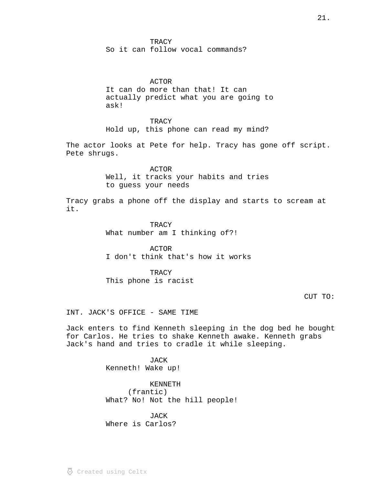**TRACY** So it can follow vocal commands?

#### ACTOR

It can do more than that! It can actually predict what you are going to ask!

**TRACY** Hold up, this phone can read my mind?

The actor looks at Pete for help. Tracy has gone off script. Pete shrugs.

> ACTOR Well, it tracks your habits and tries to guess your needs

Tracy grabs a phone off the display and starts to scream at it.

> **TRACY** What number am I thinking of?!

ACTOR I don't think that's how it works

TRACY This phone is racist

CUT TO:

INT. JACK'S OFFICE - SAME TIME

Jack enters to find Kenneth sleeping in the dog bed he bought for Carlos. He tries to shake Kenneth awake. Kenneth grabs Jack's hand and tries to cradle it while sleeping.

> JACK Kenneth! Wake up!

KENNETH (frantic) What? No! Not the hill people!

JACK Where is Carlos?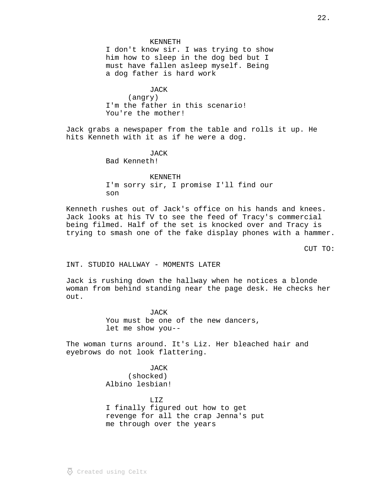# KENNETH I don't know sir. I was trying to show him how to sleep in the dog bed but I must have fallen asleep myself. Being a dog father is hard work

JACK (angry) I'm the father in this scenario! You're the mother!

Jack grabs a newspaper from the table and rolls it up. He hits Kenneth with it as if he were a dog.

> JACK Bad Kenneth!

#### KENNETH

I'm sorry sir, I promise I'll find our son

Kenneth rushes out of Jack's office on his hands and knees. Jack looks at his TV to see the feed of Tracy's commercial being filmed. Half of the set is knocked over and Tracy is trying to smash one of the fake display phones with a hammer.

CUT TO:

INT. STUDIO HALLWAY - MOMENTS LATER

Jack is rushing down the hallway when he notices a blonde woman from behind standing near the page desk. He checks her out.

> **JACK** You must be one of the new dancers, let me show you--

The woman turns around. It's Liz. Her bleached hair and eyebrows do not look flattering.

> JACK (shocked) Albino lesbian!

LIZ I finally figured out how to get revenge for all the crap Jenna's put me through over the years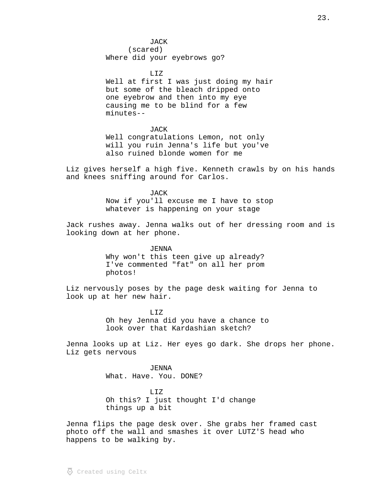# JACK

(scared) Where did your eyebrows go?

LIZ Well at first I was just doing my hair but some of the bleach dripped onto one eyebrow and then into my eye causing me to be blind for a few minutes--

#### JACK

Well congratulations Lemon, not only will you ruin Jenna's life but you've also ruined blonde women for me

Liz gives herself a high five. Kenneth crawls by on his hands and knees sniffing around for Carlos.

> JACK Now if you'll excuse me I have to stop whatever is happening on your stage

Jack rushes away. Jenna walks out of her dressing room and is looking down at her phone.

> JENNA Why won't this teen give up already? I've commented "fat" on all her prom photos!

Liz nervously poses by the page desk waiting for Jenna to look up at her new hair.

> LIZ Oh hey Jenna did you have a chance to look over that Kardashian sketch?

Jenna looks up at Liz. Her eyes go dark. She drops her phone. Liz gets nervous

> JENNA What. Have. You. DONE?

LIZ Oh this? I just thought I'd change things up a bit

Jenna flips the page desk over. She grabs her framed cast photo off the wall and smashes it over LUTZ'S head who happens to be walking by.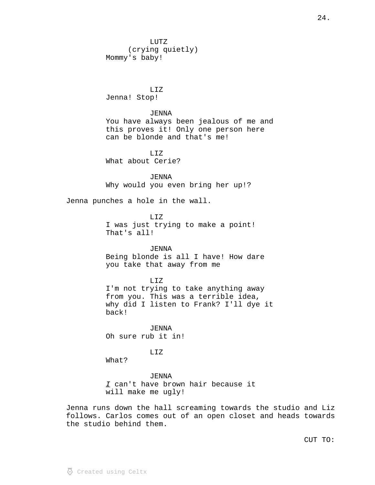LUTZ (crying quietly) Mommy's baby!

LIZ Jenna! Stop!

JENNA You have always been jealous of me and this proves it! Only one person here can be blonde and that's me!

LIZ What about Cerie?

JENNA Why would you even bring her up!?

Jenna punches a hole in the wall.

LIZ I was just trying to make a point! That's all!

JENNA Being blonde is all I have! How dare you take that away from me

LIZ I'm not trying to take anything away from you. This was a terrible idea, why did I listen to Frank? I'll dye it back!

JENNA Oh sure rub it in!

LIZ

What?

JENNA I can't have brown hair because it will make me ugly!

Jenna runs down the hall screaming towards the studio and Liz follows. Carlos comes out of an open closet and heads towards the studio behind them.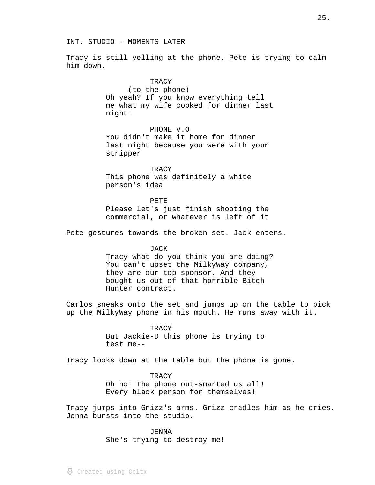#### INT. STUDIO - MOMENTS LATER

Tracy is still yelling at the phone. Pete is trying to calm him down.

#### **TRACY**

(to the phone) Oh yeah? If you know everything tell me what my wife cooked for dinner last night!

PHONE V.O

You didn't make it home for dinner last night because you were with your stripper

**TRACY** This phone was definitely a white person's idea

PETE Please let's just finish shooting the commercial, or whatever is left of it

Pete gestures towards the broken set. Jack enters.

#### JACK

Tracy what do you think you are doing? You can't upset the MilkyWay company, they are our top sponsor. And they bought us out of that horrible Bitch Hunter contract.

Carlos sneaks onto the set and jumps up on the table to pick up the MilkyWay phone in his mouth. He runs away with it.

> **TRACY** But Jackie-D this phone is trying to test me--

Tracy looks down at the table but the phone is gone.

TRACY Oh no! The phone out-smarted us all! Every black person for themselves!

Tracy jumps into Grizz's arms. Grizz cradles him as he cries. Jenna bursts into the studio.

# *JENNA*

She's trying to destroy me!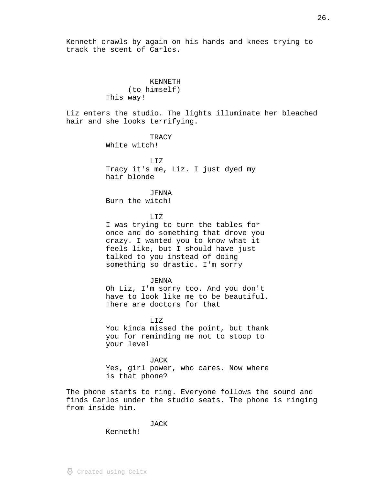Kenneth crawls by again on his hands and knees trying to track the scent of Carlos.

> KENNETH (to himself) This way!

Liz enters the studio. The lights illuminate her bleached hair and she looks terrifying.

> **TRACY** White witch!

LIZ Tracy it's me, Liz. I just dyed my hair blonde

JENNA Burn the witch!

LIZ

I was trying to turn the tables for once and do something that drove you crazy. I wanted you to know what it feels like, but I should have just talked to you instead of doing something so drastic. I'm sorry

JENNA

Oh Liz, I'm sorry too. And you don't have to look like me to be beautiful. There are doctors for that

LIZ You kinda missed the point, but thank you for reminding me not to stoop to your level

**JACK** Yes, girl power, who cares. Now where is that phone?

The phone starts to ring. Everyone follows the sound and finds Carlos under the studio seats. The phone is ringing from inside him.

JACK

Kenneth!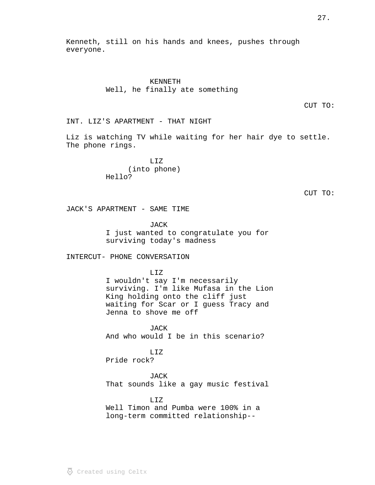Kenneth, still on his hands and knees, pushes through everyone.

> KENNETH Well, he finally ate something

> > CUT TO:

INT. LIZ'S APARTMENT - THAT NIGHT

Liz is watching TV while waiting for her hair dye to settle. The phone rings.

> LIZ (into phone) Hello?

CUT TO:

JACK'S APARTMENT - SAME TIME

JACK I just wanted to congratulate you for surviving today's madness

INTERCUT- PHONE CONVERSATION

LIZ

I wouldn't say I'm necessarily surviving. I'm like Mufasa in the Lion King holding onto the cliff just waiting for Scar or I guess Tracy and Jenna to shove me off

**JACK** And who would I be in this scenario?

LIZ Pride rock?

JACK That sounds like a gay music festival

 $T_{1}T_{2}$ Well Timon and Pumba were 100% in a long-term committed relationship--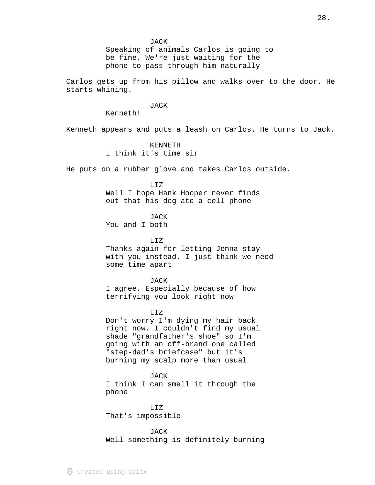Speaking of animals Carlos is going to be fine. We're just waiting for the phone to pass through him naturally

Carlos gets up from his pillow and walks over to the door. He starts whining.

# JACK

Kenneth!

Kenneth appears and puts a leash on Carlos. He turns to Jack.

# KENNETH

I think it's time sir

He puts on a rubber glove and takes Carlos outside.

# LIZ

Well I hope Hank Hooper never finds out that his dog ate a cell phone

# **JACK**

You and I both

T.TZ

Thanks again for letting Jenna stay with you instead. I just think we need some time apart

#### JACK

I agree. Especially because of how terrifying you look right now

# LIZ

Don't worry I'm dying my hair back right now. I couldn't find my usual shade "grandfather's shoe" so I'm going with an off-brand one called "step-dad's briefcase" but it's burning my scalp more than usual

JACK I think I can smell it through the phone

LIZ That's impossible

**JACK** Well something is definitely burning